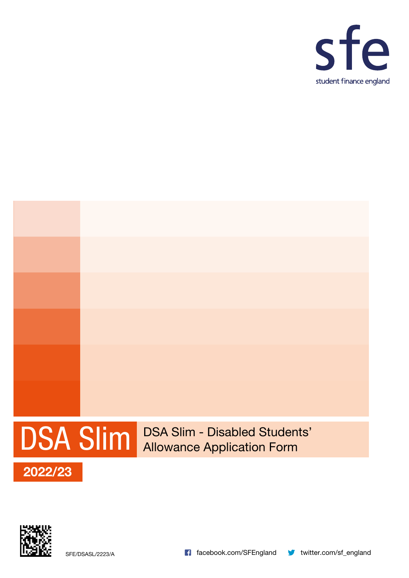



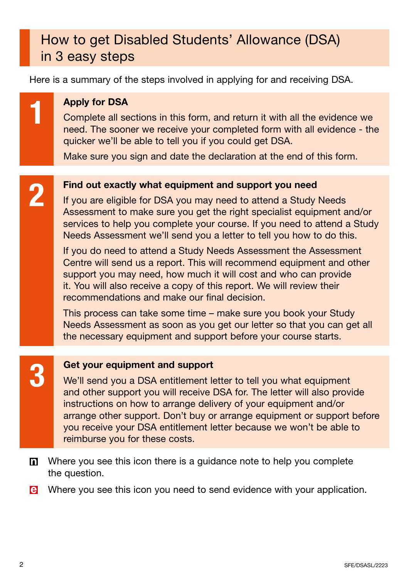# How to get Disabled Students' Allowance (DSA) in 3 easy steps

Here is a summary of the steps involved in applying for and receiving DSA.

## **Apply for DSA**

Complete all sections in this form, and return it with all the evidence we need. The sooner we receive your completed form with all evidence - the quicker we'll be able to tell you if you could get DSA.

Make sure you sign and date the declaration at the end of this form.

## Find out exactly what equipment and support you need

If you are eligible for DSA you may need to attend a Study Needs Assessment to make sure you get the right specialist equipment and/or services to help you complete your course. If you need to attend a Study Needs Assessment we'll send you a letter to tell you how to do this.

If you do need to attend a Study Needs Assessment the Assessment Centre will send us a report. This will recommend equipment and other support you may need, how much it will cost and who can provide it. You will also receive a copy of this report. We will review their recommendations and make our final decision.

This process can take some time – make sure you book your Study Needs Assessment as soon as you get our letter so that you can get all the necessary equipment and support before your course starts.

**3 Get your equipment and support<br>We'll send you a DSA entitlement leader of the support you will receive** We'll send you a DSA entitlement letter to tell you what equipment and other support you will receive DSA for. The letter will also provide instructions on how to arrange delivery of your equipment and/or arrange other support. Don't buy or arrange equipment or support before you receive your DSA entitlement letter because we won't be able to reimburse you for these costs.

 $\mathbf{D}$ Where you see this icon there is a guidance note to help you complete the question.

le Where you see this icon you need to send evidence with your application.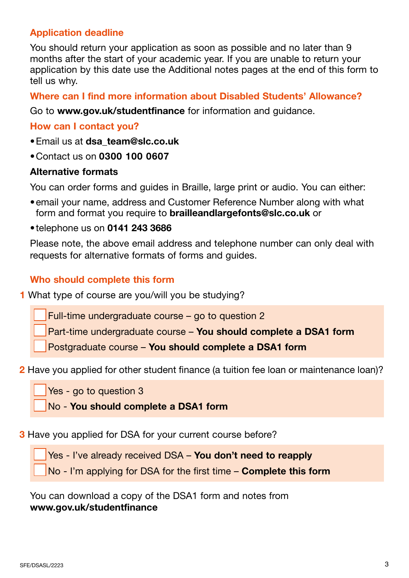## Application deadline

You should return your application as soon as possible and no later than 9 months after the start of your academic year. If you are unable to return your application by this date use the Additional notes pages at the end of this form to tell us why.

## Where can I find more information about Disabled Students' Allowance?

Go to [www.gov.uk/studentfinance](http://www.gov.uk/studentfinance) for information and guidance.

## How can I contact you?

- Email us at dsa team@slc.co.uk
- •Contact us on 0300 100 0607

### Alternative formats

You can order forms and guides in Braille, large print or audio. You can either:

- •email your name, address and Customer Reference Number along with what form and format you require to [brailleandlargefonts@slc.co.uk](mailto:brailleandlargefonts%40slc.co.uk?subject=) or
- •telephone us on 0141 243 3686

Please note, the above email address and telephone number can only deal with requests for alternative formats of forms and guides.

## Who should complete this form

1 What type of course are you/will you be studying?

Full-time undergraduate course – go to question 2

Part-time undergraduate course – You should complete a DSA1 form

Postgraduate course – You should complete a DSA1 form

### 2 Have you applied for other student finance (a tuition fee loan or maintenance loan)?

Yes - go to question 3

No - You should complete a DSA1 form

**3** Have you applied for DSA for your current course before?

Yes - I've already received DSA – You don't need to reapply

No - I'm applying for DSA for the first time – Complete this form

You can download a copy of the DSA1 form and notes from [www.gov.uk/studentfinance](http://www.gov.uk/studentfinance)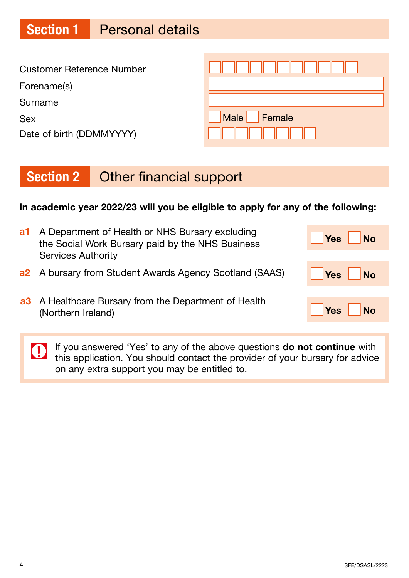# Section 1 Personal details

| <b>Customer Reference Number</b> |                |
|----------------------------------|----------------|
| Forename(s)                      |                |
| Surname                          |                |
| <b>Sex</b>                       | Female<br>Male |
| Date of birth (DDMMYYYY)         |                |

# Section 2 Other financial support

## In academic year 2022/23 will you be eligible to apply for any of the following:

| a1 | A Department of Health or NHS Bursary excluding<br>the Social Work Bursary paid by the NHS Business | Yes<br><b>No</b>                |
|----|-----------------------------------------------------------------------------------------------------|---------------------------------|
|    | <b>Services Authority</b>                                                                           |                                 |
|    | <b>a2</b> A bursary from Student Awards Agency Scotland (SAAS)                                      | Yes<br>$\overline{\mathsf{No}}$ |
|    | a3 A Healthcare Bursary from the Department of Health<br>(Northern Ireland)                         | <b>No</b><br><b>Yes</b>         |

If you answered 'Yes' to any of the above questions **do not continue** with this annication. You abould contact it this application. You should contact the provider of your bursary for advice on any extra support you may be entitled to.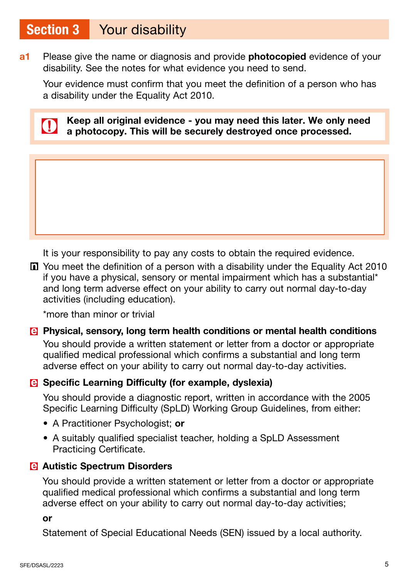## Section 3 Your disability

a<sup>1</sup> Please give the name or diagnosis and provide **photocopied** evidence of your disability. See the notes for what evidence you need to send.

Your evidence must confirm that you meet the definition of a person who has a disability under the Equality Act 2010.



Keep all original evidence - you may need this later. We only need a photocopy. This will be securely destroyed once processed.

It is your responsibility to pay any costs to obtain the required evidence.

You meet the definition of a person with a disability under the Equality Act 2010 if you have a physical, sensory or mental impairment which has a substantial\* and long term adverse effect on your ability to carry out normal day-to-day activities (including education).

\*more than minor or trivial

## Physical, sensory, long term health conditions or mental health conditions

You should provide a written statement or letter from a doctor or appropriate qualified medical professional which confirms a substantial and long term adverse effect on your ability to carry out normal day-to-day activities.

## **B** Specific Learning Difficulty (for example, dyslexia)

You should provide a diagnostic report, written in accordance with the 2005 Specific Learning Difficulty (SpLD) Working Group Guidelines, from either:

- A Practitioner Psychologist; or
- A suitably qualified specialist teacher, holding a SpLD Assessment Practicing Certificate.

## **B** Autistic Spectrum Disorders

You should provide a written statement or letter from a doctor or appropriate qualified medical professional which confirms a substantial and long term adverse effect on your ability to carry out normal day-to-day activities;

or

Statement of Special Educational Needs (SEN) issued by a local authority.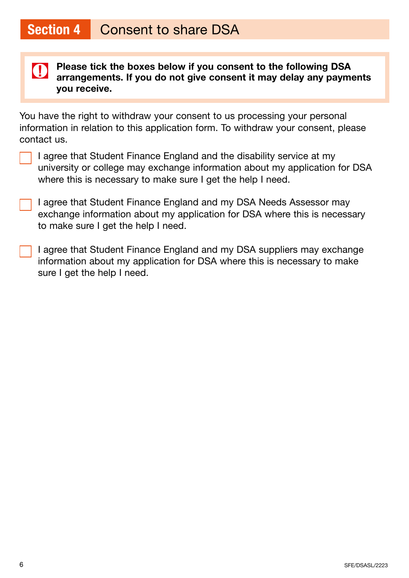

Please tick the boxes below if you consent to the following DSA arrangements. If you do not give consent it may delay any payments you receive.

You have the right to withdraw your consent to us processing your personal information in relation to this application form. To withdraw your consent, please contact us.

- I agree that Student Finance England and the disability service at my university or college may exchange information about my application for DSA where this is necessary to make sure I get the help I need.
- I agree that Student Finance England and my DSA Needs Assessor may exchange information about my application for DSA where this is necessary to make sure I get the help I need.
- I agree that Student Finance England and my DSA suppliers may exchange information about my application for DSA where this is necessary to make sure I get the help I need.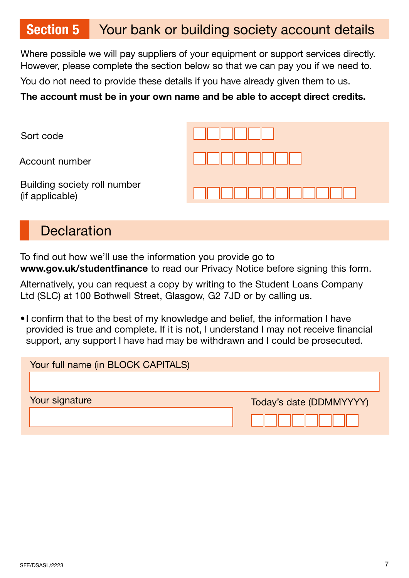## Section 5 Your bank or building society account details

Where possible we will pay suppliers of your equipment or support services directly. However, please complete the section below so that we can pay you if we need to.

You do not need to provide these details if you have already given them to us.

## The account must be in your own name and be able to accept direct credits.

| Sort code                                       |  |
|-------------------------------------------------|--|
| Account number                                  |  |
| Building society roll number<br>(if applicable) |  |

## **Declaration**

To find out how we'll use the information you provide go to [www.gov.uk/studentfinance](http://www.gov.uk/studentfinance) to read our Privacy Notice before signing this form.

Alternatively, you can request a copy by writing to the Student Loans Company Ltd (SLC) at 100 Bothwell Street, Glasgow, G2 7JD or by calling us.

•I confirm that to the best of my knowledge and belief, the information I have provided is true and complete. If it is not, I understand I may not receive financial support, any support I have had may be withdrawn and I could be prosecuted.

| Your full name (in BLOCK CAPITALS) |                         |
|------------------------------------|-------------------------|
|                                    |                         |
| Your signature                     | Today's date (DDMMYYYY) |
|                                    |                         |